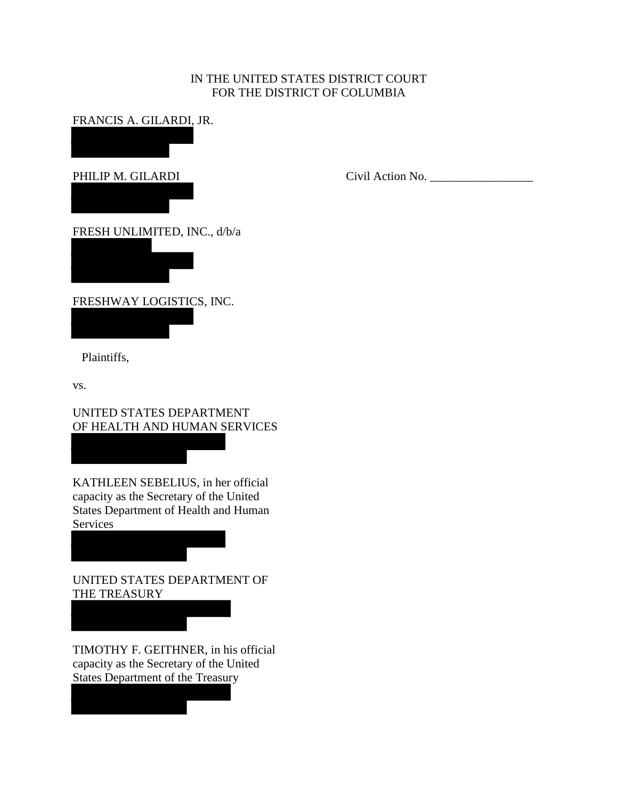# IN THE UNITED STATES DISTRICT COURT FOR THE DISTRICT OF COLUMBIA

FRANCIS A. GILARDI, JR.

PHILIP M. GILARDI

Civil Action No. \_\_\_\_\_\_\_\_\_\_\_\_\_\_\_\_\_

FRESH UNLIMITED, INC., d/b/a

FRESHWAY LOGISTICS, INC.

Plaintiffs,

vs.

UNITED STATES DEPARTMENT OF HEALTH AND HUMAN SERVICES

KATHLEEN SEBELIUS, in her official capacity as the Secretary of the United States Department of Health and Human Services

UNITED STATES DEPARTMENT OF THE TREASURY

TIMOTHY F. GEITHNER, in his official capacity as the Secretary of the United States Department of the Treasury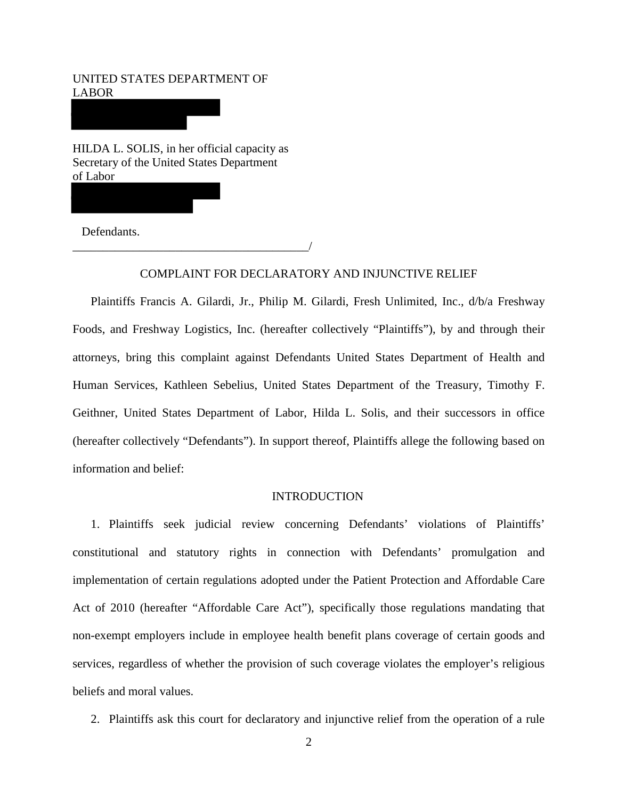UNITED STATES DEPARTMENT OF LABOR

HILDA L. SOLIS, in her official capacity as Secretary of the United States Department of Labor

\_\_\_\_\_\_\_\_\_\_\_\_\_\_\_\_\_\_\_\_\_\_\_\_\_\_\_\_\_\_\_\_\_\_\_\_\_\_\_/

Defendants.

# COMPLAINT FOR DECLARATORY AND INJUNCTIVE RELIEF

Plaintiffs Francis A. Gilardi, Jr., Philip M. Gilardi, Fresh Unlimited, Inc., d/b/a Freshway Foods, and Freshway Logistics, Inc. (hereafter collectively "Plaintiffs"), by and through their attorneys, bring this complaint against Defendants United States Department of Health and Human Services, Kathleen Sebelius, United States Department of the Treasury, Timothy F. Geithner, United States Department of Labor, Hilda L. Solis, and their successors in office (hereafter collectively "Defendants"). In support thereof, Plaintiffs allege the following based on information and belief:

# **INTRODUCTION**

1. Plaintiffs seek judicial review concerning Defendants' violations of Plaintiffs' constitutional and statutory rights in connection with Defendants' promulgation and implementation of certain regulations adopted under the Patient Protection and Affordable Care Act of 2010 (hereafter "Affordable Care Act"), specifically those regulations mandating that non-exempt employers include in employee health benefit plans coverage of certain goods and services, regardless of whether the provision of such coverage violates the employer's religious beliefs and moral values.

2. Plaintiffs ask this court for declaratory and injunctive relief from the operation of a rule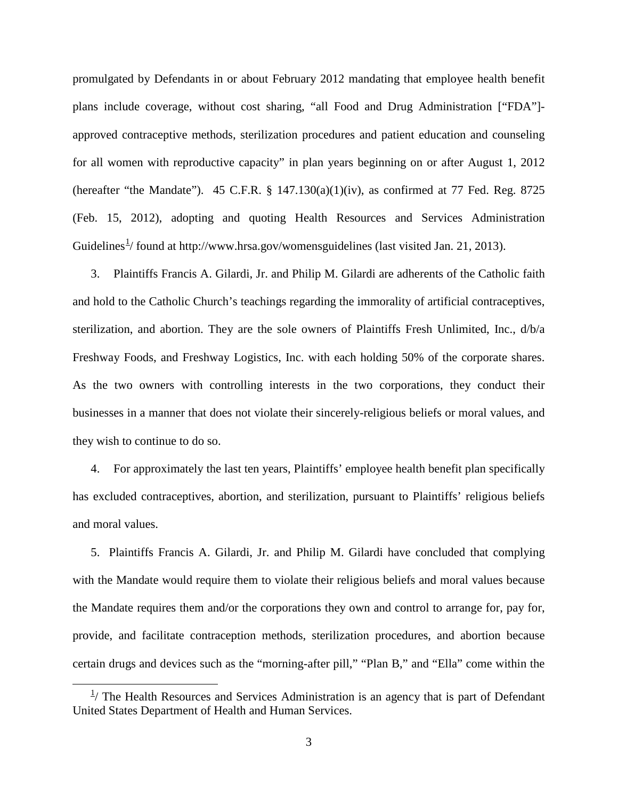promulgated by Defendants in or about February 2012 mandating that employee health benefit plans include coverage, without cost sharing, "all Food and Drug Administration ["FDA"] approved contraceptive methods, sterilization procedures and patient education and counseling for all women with reproductive capacity" in plan years beginning on or after August 1, 2012 (hereafter "the Mandate"). 45 C.F.R.  $\S$  147.130(a)(1)(iv), as confirmed at 77 Fed. Reg. 8725 (Feb. 15, 2012), adopting and quoting Health Resources and Services Administration Guidelines<sup>[1](#page-2-0)</sup>/ found at http://www.hrsa.gov/womensguidelines (last visited Jan. 21, 2013).

3. Plaintiffs Francis A. Gilardi, Jr. and Philip M. Gilardi are adherents of the Catholic faith and hold to the Catholic Church's teachings regarding the immorality of artificial contraceptives, sterilization, and abortion. They are the sole owners of Plaintiffs Fresh Unlimited, Inc., d/b/a Freshway Foods, and Freshway Logistics, Inc. with each holding 50% of the corporate shares. As the two owners with controlling interests in the two corporations, they conduct their businesses in a manner that does not violate their sincerely-religious beliefs or moral values, and they wish to continue to do so.

4. For approximately the last ten years, Plaintiffs' employee health benefit plan specifically has excluded contraceptives, abortion, and sterilization, pursuant to Plaintiffs' religious beliefs and moral values.

5. Plaintiffs Francis A. Gilardi, Jr. and Philip M. Gilardi have concluded that complying with the Mandate would require them to violate their religious beliefs and moral values because the Mandate requires them and/or the corporations they own and control to arrange for, pay for, provide, and facilitate contraception methods, sterilization procedures, and abortion because certain drugs and devices such as the "morning-after pill," "Plan B," and "Ella" come within the

 $\overline{a}$ 

<span id="page-2-0"></span> $1/$  The Health Resources and Services Administration is an agency that is part of Defendant United States Department of Health and Human Services.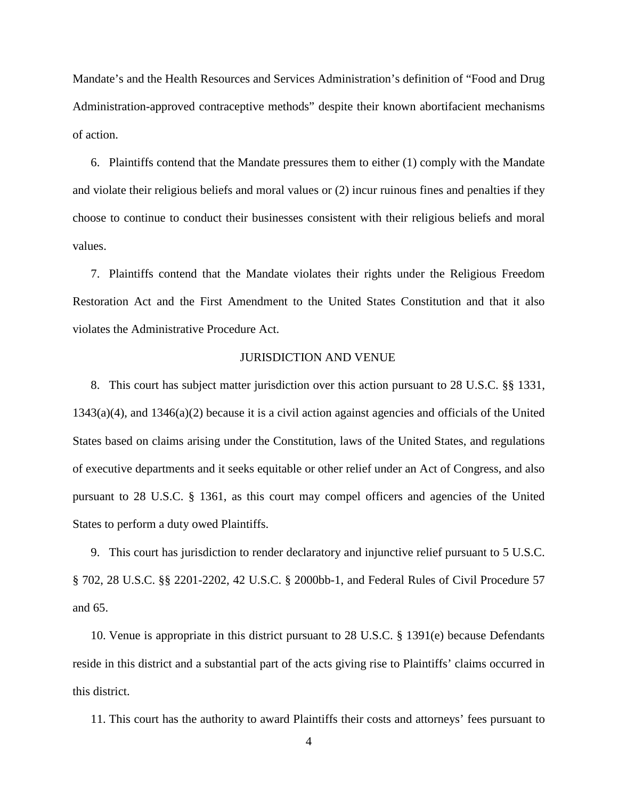Mandate's and the Health Resources and Services Administration's definition of "Food and Drug Administration-approved contraceptive methods" despite their known abortifacient mechanisms of action.

6. Plaintiffs contend that the Mandate pressures them to either (1) comply with the Mandate and violate their religious beliefs and moral values or (2) incur ruinous fines and penalties if they choose to continue to conduct their businesses consistent with their religious beliefs and moral values.

7. Plaintiffs contend that the Mandate violates their rights under the Religious Freedom Restoration Act and the First Amendment to the United States Constitution and that it also violates the Administrative Procedure Act.

## JURISDICTION AND VENUE

8. This court has subject matter jurisdiction over this action pursuant to 28 U.S.C. §§ 1331, 1343(a)(4), and 1346(a)(2) because it is a civil action against agencies and officials of the United States based on claims arising under the Constitution, laws of the United States, and regulations of executive departments and it seeks equitable or other relief under an Act of Congress, and also pursuant to 28 U.S.C. § 1361, as this court may compel officers and agencies of the United States to perform a duty owed Plaintiffs.

9. This court has jurisdiction to render declaratory and injunctive relief pursuant to 5 U.S.C. § 702, 28 U.S.C. §§ 2201-2202, 42 U.S.C. § 2000bb-1, and Federal Rules of Civil Procedure 57 and 65.

10. Venue is appropriate in this district pursuant to 28 U.S.C. § 1391(e) because Defendants reside in this district and a substantial part of the acts giving rise to Plaintiffs' claims occurred in this district.

11. This court has the authority to award Plaintiffs their costs and attorneys' fees pursuant to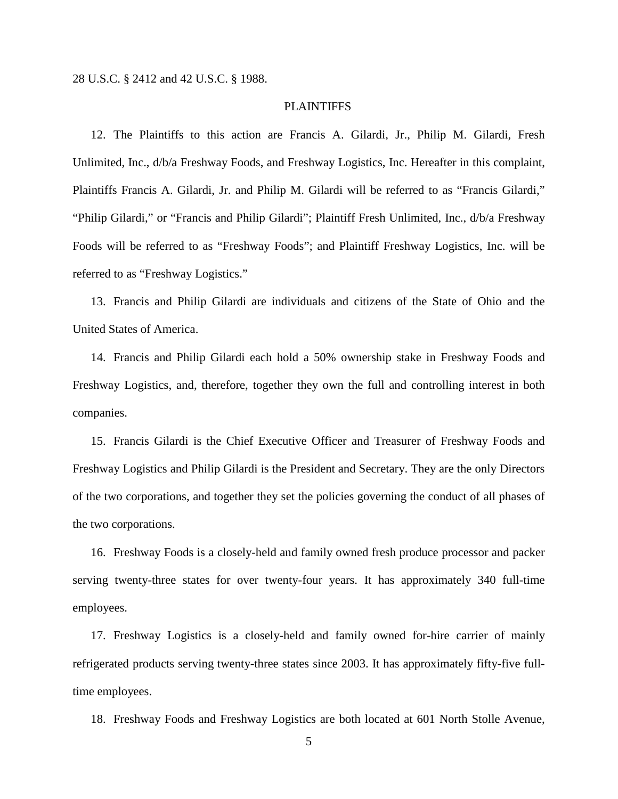### PLAINTIFFS

12. The Plaintiffs to this action are Francis A. Gilardi, Jr., Philip M. Gilardi, Fresh Unlimited, Inc., d/b/a Freshway Foods, and Freshway Logistics, Inc. Hereafter in this complaint, Plaintiffs Francis A. Gilardi, Jr. and Philip M. Gilardi will be referred to as "Francis Gilardi," "Philip Gilardi," or "Francis and Philip Gilardi"; Plaintiff Fresh Unlimited, Inc., d/b/a Freshway Foods will be referred to as "Freshway Foods"; and Plaintiff Freshway Logistics, Inc. will be referred to as "Freshway Logistics."

13. Francis and Philip Gilardi are individuals and citizens of the State of Ohio and the United States of America.

14. Francis and Philip Gilardi each hold a 50% ownership stake in Freshway Foods and Freshway Logistics, and, therefore, together they own the full and controlling interest in both companies.

15. Francis Gilardi is the Chief Executive Officer and Treasurer of Freshway Foods and Freshway Logistics and Philip Gilardi is the President and Secretary. They are the only Directors of the two corporations, and together they set the policies governing the conduct of all phases of the two corporations.

16. Freshway Foods is a closely-held and family owned fresh produce processor and packer serving twenty-three states for over twenty-four years. It has approximately 340 full-time employees.

17. Freshway Logistics is a closely-held and family owned for-hire carrier of mainly refrigerated products serving twenty-three states since 2003. It has approximately fifty-five fulltime employees.

18. Freshway Foods and Freshway Logistics are both located at 601 North Stolle Avenue,

5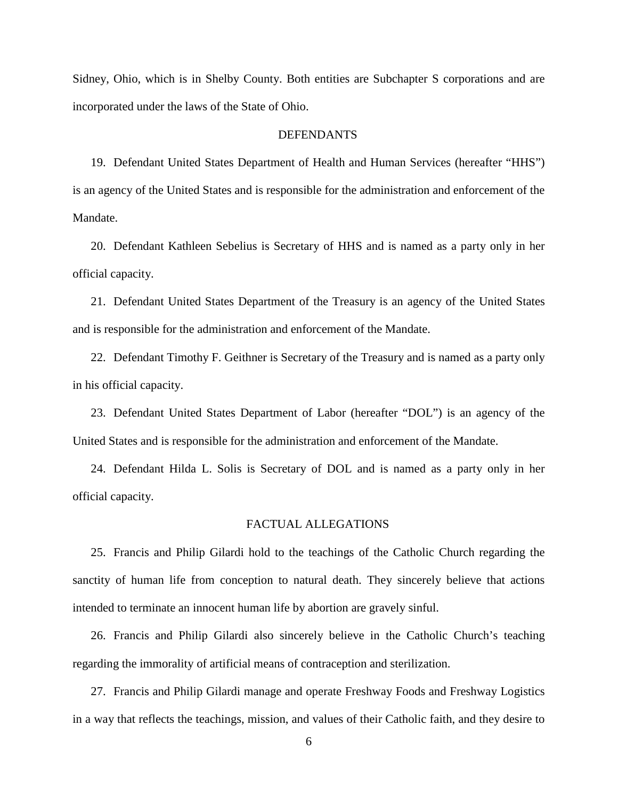Sidney, Ohio, which is in Shelby County. Both entities are Subchapter S corporations and are incorporated under the laws of the State of Ohio.

## DEFENDANTS

19. Defendant United States Department of Health and Human Services (hereafter "HHS") is an agency of the United States and is responsible for the administration and enforcement of the Mandate.

20. Defendant Kathleen Sebelius is Secretary of HHS and is named as a party only in her official capacity.

21. Defendant United States Department of the Treasury is an agency of the United States and is responsible for the administration and enforcement of the Mandate.

22. Defendant Timothy F. Geithner is Secretary of the Treasury and is named as a party only in his official capacity.

23. Defendant United States Department of Labor (hereafter "DOL") is an agency of the United States and is responsible for the administration and enforcement of the Mandate.

24. Defendant Hilda L. Solis is Secretary of DOL and is named as a party only in her official capacity.

## FACTUAL ALLEGATIONS

25. Francis and Philip Gilardi hold to the teachings of the Catholic Church regarding the sanctity of human life from conception to natural death. They sincerely believe that actions intended to terminate an innocent human life by abortion are gravely sinful.

26. Francis and Philip Gilardi also sincerely believe in the Catholic Church's teaching regarding the immorality of artificial means of contraception and sterilization.

27. Francis and Philip Gilardi manage and operate Freshway Foods and Freshway Logistics in a way that reflects the teachings, mission, and values of their Catholic faith, and they desire to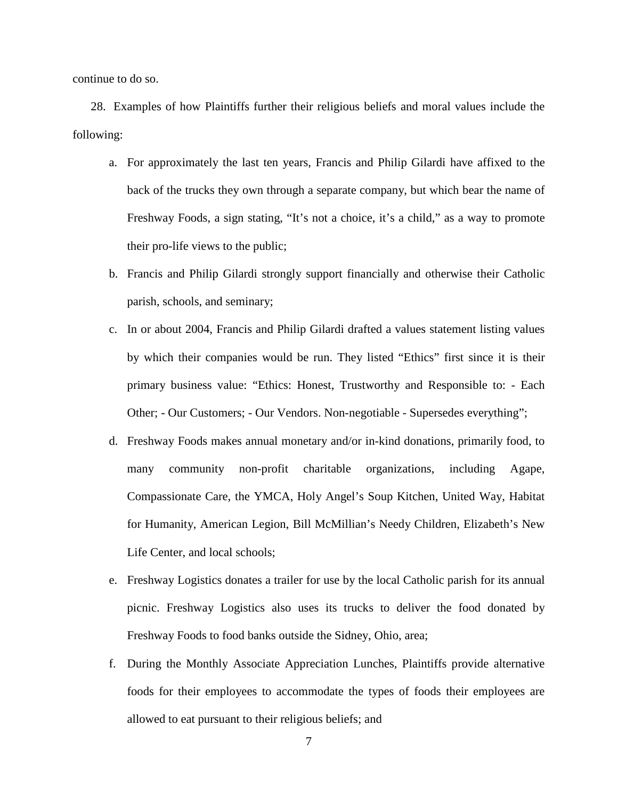continue to do so.

28. Examples of how Plaintiffs further their religious beliefs and moral values include the following:

- a. For approximately the last ten years, Francis and Philip Gilardi have affixed to the back of the trucks they own through a separate company, but which bear the name of Freshway Foods, a sign stating, "It's not a choice, it's a child," as a way to promote their pro-life views to the public;
- b. Francis and Philip Gilardi strongly support financially and otherwise their Catholic parish, schools, and seminary;
- c. In or about 2004, Francis and Philip Gilardi drafted a values statement listing values by which their companies would be run. They listed "Ethics" first since it is their primary business value: "Ethics: Honest, Trustworthy and Responsible to: - Each Other; - Our Customers; - Our Vendors. Non-negotiable - Supersedes everything";
- d. Freshway Foods makes annual monetary and/or in-kind donations, primarily food, to many community non-profit charitable organizations, including Agape, Compassionate Care, the YMCA, Holy Angel's Soup Kitchen, United Way, Habitat for Humanity, American Legion, Bill McMillian's Needy Children, Elizabeth's New Life Center, and local schools;
- e. Freshway Logistics donates a trailer for use by the local Catholic parish for its annual picnic. Freshway Logistics also uses its trucks to deliver the food donated by Freshway Foods to food banks outside the Sidney, Ohio, area;
- f. During the Monthly Associate Appreciation Lunches, Plaintiffs provide alternative foods for their employees to accommodate the types of foods their employees are allowed to eat pursuant to their religious beliefs; and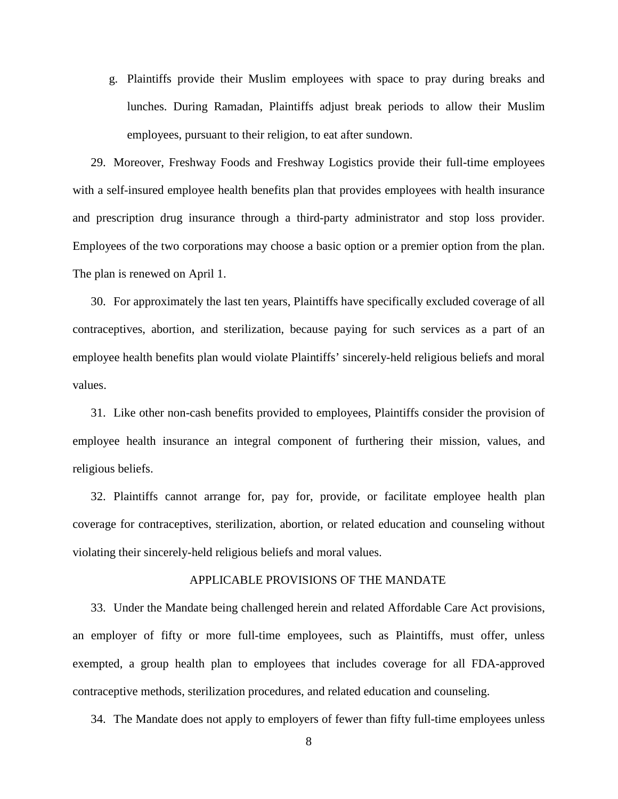g. Plaintiffs provide their Muslim employees with space to pray during breaks and lunches. During Ramadan, Plaintiffs adjust break periods to allow their Muslim employees, pursuant to their religion, to eat after sundown.

29. Moreover, Freshway Foods and Freshway Logistics provide their full-time employees with a self-insured employee health benefits plan that provides employees with health insurance and prescription drug insurance through a third-party administrator and stop loss provider. Employees of the two corporations may choose a basic option or a premier option from the plan. The plan is renewed on April 1.

30. For approximately the last ten years, Plaintiffs have specifically excluded coverage of all contraceptives, abortion, and sterilization, because paying for such services as a part of an employee health benefits plan would violate Plaintiffs' sincerely-held religious beliefs and moral values.

31. Like other non-cash benefits provided to employees, Plaintiffs consider the provision of employee health insurance an integral component of furthering their mission, values, and religious beliefs.

32. Plaintiffs cannot arrange for, pay for, provide, or facilitate employee health plan coverage for contraceptives, sterilization, abortion, or related education and counseling without violating their sincerely-held religious beliefs and moral values.

### APPLICABLE PROVISIONS OF THE MANDATE

33. Under the Mandate being challenged herein and related Affordable Care Act provisions, an employer of fifty or more full-time employees, such as Plaintiffs, must offer, unless exempted, a group health plan to employees that includes coverage for all FDA-approved contraceptive methods, sterilization procedures, and related education and counseling.

34. The Mandate does not apply to employers of fewer than fifty full-time employees unless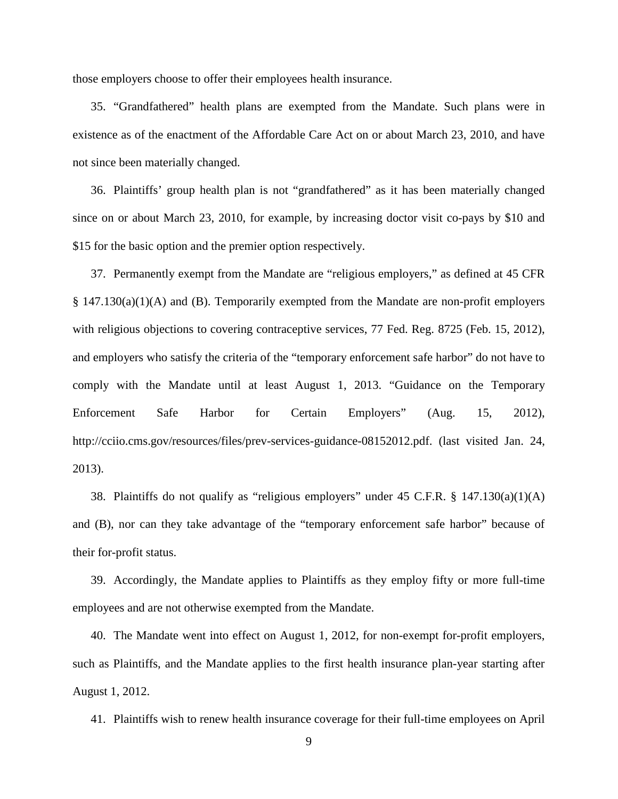those employers choose to offer their employees health insurance.

35. "Grandfathered" health plans are exempted from the Mandate. Such plans were in existence as of the enactment of the Affordable Care Act on or about March 23, 2010, and have not since been materially changed.

36. Plaintiffs' group health plan is not "grandfathered" as it has been materially changed since on or about March 23, 2010, for example, by increasing doctor visit co-pays by \$10 and \$15 for the basic option and the premier option respectively.

37. Permanently exempt from the Mandate are "religious employers," as defined at 45 CFR § 147.130(a)(1)(A) and (B). Temporarily exempted from the Mandate are non-profit employers with religious objections to covering contraceptive services, 77 Fed. Reg. 8725 (Feb. 15, 2012), and employers who satisfy the criteria of the "temporary enforcement safe harbor" do not have to comply with the Mandate until at least August 1, 2013. "Guidance on the Temporary Enforcement Safe Harbor for Certain Employers" (Aug. 15, 2012), http://cciio.cms.gov/resources/files/prev-services-guidance-08152012.pdf. (last visited Jan. 24, 2013).

38. Plaintiffs do not qualify as "religious employers" under 45 C.F.R. § 147.130(a)(1)(A) and (B), nor can they take advantage of the "temporary enforcement safe harbor" because of their for-profit status.

39. Accordingly, the Mandate applies to Plaintiffs as they employ fifty or more full-time employees and are not otherwise exempted from the Mandate.

40. The Mandate went into effect on August 1, 2012, for non-exempt for-profit employers, such as Plaintiffs, and the Mandate applies to the first health insurance plan-year starting after August 1, 2012.

41. Plaintiffs wish to renew health insurance coverage for their full-time employees on April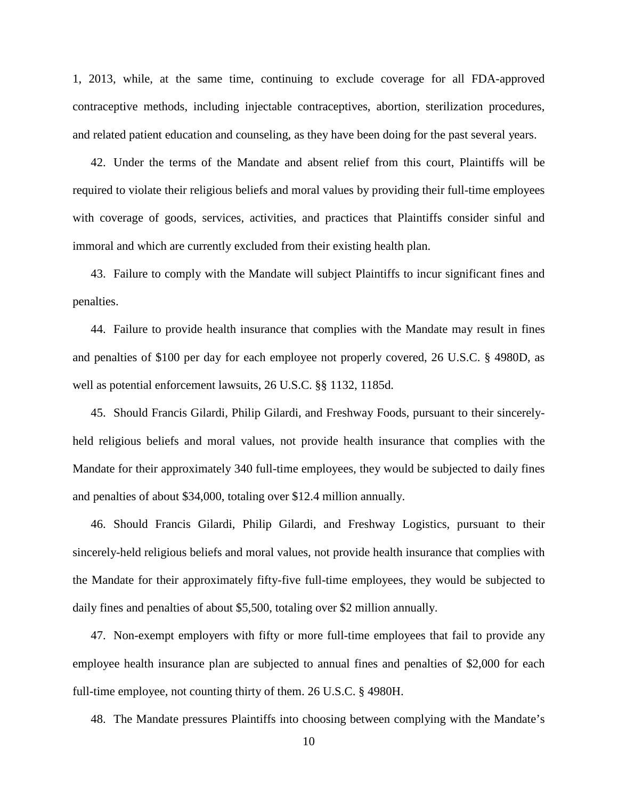1, 2013, while, at the same time, continuing to exclude coverage for all FDA-approved contraceptive methods, including injectable contraceptives, abortion, sterilization procedures, and related patient education and counseling, as they have been doing for the past several years.

42. Under the terms of the Mandate and absent relief from this court, Plaintiffs will be required to violate their religious beliefs and moral values by providing their full-time employees with coverage of goods, services, activities, and practices that Plaintiffs consider sinful and immoral and which are currently excluded from their existing health plan.

43. Failure to comply with the Mandate will subject Plaintiffs to incur significant fines and penalties.

44. Failure to provide health insurance that complies with the Mandate may result in fines and penalties of \$100 per day for each employee not properly covered, 26 U.S.C. § 4980D, as well as potential enforcement lawsuits, 26 U.S.C. §§ 1132, 1185d.

45. Should Francis Gilardi, Philip Gilardi, and Freshway Foods, pursuant to their sincerelyheld religious beliefs and moral values, not provide health insurance that complies with the Mandate for their approximately 340 full-time employees, they would be subjected to daily fines and penalties of about \$34,000, totaling over \$12.4 million annually.

46. Should Francis Gilardi, Philip Gilardi, and Freshway Logistics, pursuant to their sincerely-held religious beliefs and moral values, not provide health insurance that complies with the Mandate for their approximately fifty-five full-time employees, they would be subjected to daily fines and penalties of about \$5,500, totaling over \$2 million annually.

47. Non-exempt employers with fifty or more full-time employees that fail to provide any employee health insurance plan are subjected to annual fines and penalties of \$2,000 for each full-time employee, not counting thirty of them. 26 U.S.C. § 4980H.

48. The Mandate pressures Plaintiffs into choosing between complying with the Mandate's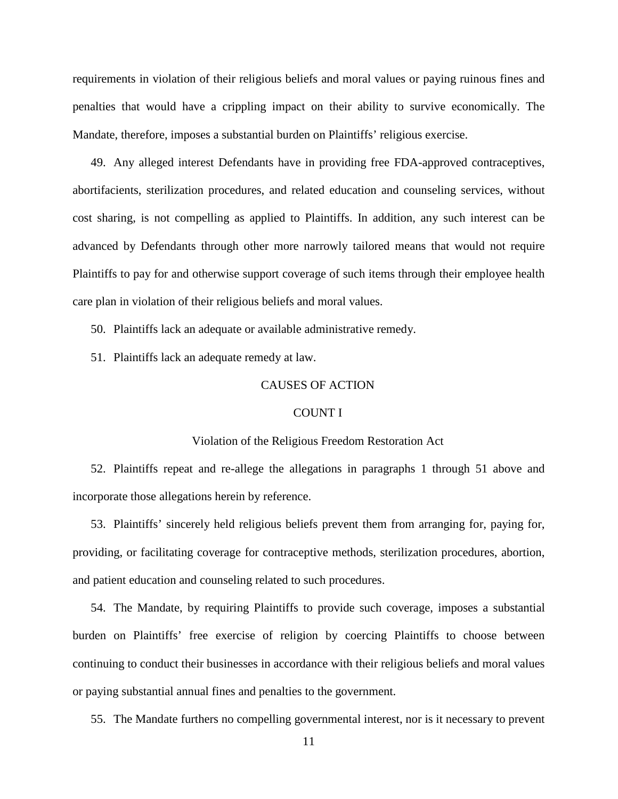requirements in violation of their religious beliefs and moral values or paying ruinous fines and penalties that would have a crippling impact on their ability to survive economically. The Mandate, therefore, imposes a substantial burden on Plaintiffs' religious exercise.

49. Any alleged interest Defendants have in providing free FDA-approved contraceptives, abortifacients, sterilization procedures, and related education and counseling services, without cost sharing, is not compelling as applied to Plaintiffs. In addition, any such interest can be advanced by Defendants through other more narrowly tailored means that would not require Plaintiffs to pay for and otherwise support coverage of such items through their employee health care plan in violation of their religious beliefs and moral values.

50. Plaintiffs lack an adequate or available administrative remedy.

51. Plaintiffs lack an adequate remedy at law.

# CAUSES OF ACTION

#### COUNT I

## Violation of the Religious Freedom Restoration Act

52. Plaintiffs repeat and re-allege the allegations in paragraphs 1 through 51 above and incorporate those allegations herein by reference.

53. Plaintiffs' sincerely held religious beliefs prevent them from arranging for, paying for, providing, or facilitating coverage for contraceptive methods, sterilization procedures, abortion, and patient education and counseling related to such procedures.

54. The Mandate, by requiring Plaintiffs to provide such coverage, imposes a substantial burden on Plaintiffs' free exercise of religion by coercing Plaintiffs to choose between continuing to conduct their businesses in accordance with their religious beliefs and moral values or paying substantial annual fines and penalties to the government.

55. The Mandate furthers no compelling governmental interest, nor is it necessary to prevent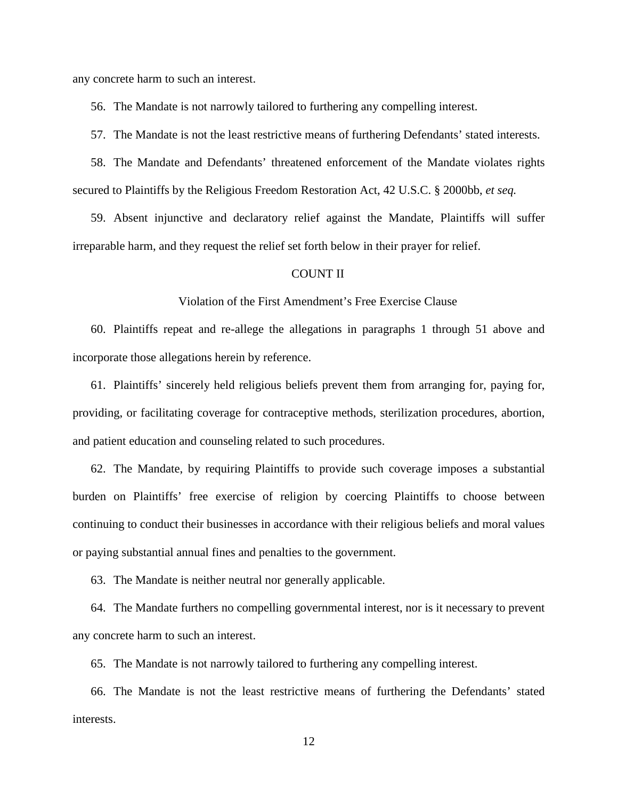any concrete harm to such an interest.

56. The Mandate is not narrowly tailored to furthering any compelling interest.

57. The Mandate is not the least restrictive means of furthering Defendants' stated interests.

58. The Mandate and Defendants' threatened enforcement of the Mandate violates rights secured to Plaintiffs by the Religious Freedom Restoration Act, 42 U.S.C. § 2000bb, *et seq.*

59. Absent injunctive and declaratory relief against the Mandate, Plaintiffs will suffer irreparable harm, and they request the relief set forth below in their prayer for relief.

## COUNT II

### Violation of the First Amendment's Free Exercise Clause

60. Plaintiffs repeat and re-allege the allegations in paragraphs 1 through 51 above and incorporate those allegations herein by reference.

61. Plaintiffs' sincerely held religious beliefs prevent them from arranging for, paying for, providing, or facilitating coverage for contraceptive methods, sterilization procedures, abortion, and patient education and counseling related to such procedures.

62. The Mandate, by requiring Plaintiffs to provide such coverage imposes a substantial burden on Plaintiffs' free exercise of religion by coercing Plaintiffs to choose between continuing to conduct their businesses in accordance with their religious beliefs and moral values or paying substantial annual fines and penalties to the government.

63. The Mandate is neither neutral nor generally applicable.

64. The Mandate furthers no compelling governmental interest, nor is it necessary to prevent any concrete harm to such an interest.

65. The Mandate is not narrowly tailored to furthering any compelling interest.

66. The Mandate is not the least restrictive means of furthering the Defendants' stated interests.

12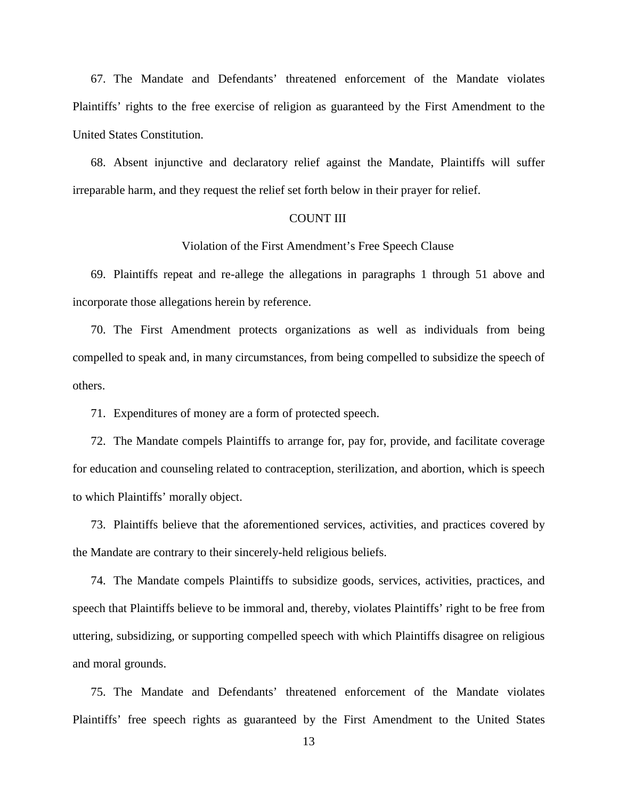67. The Mandate and Defendants' threatened enforcement of the Mandate violates Plaintiffs' rights to the free exercise of religion as guaranteed by the First Amendment to the United States Constitution.

68. Absent injunctive and declaratory relief against the Mandate, Plaintiffs will suffer irreparable harm, and they request the relief set forth below in their prayer for relief.

### COUNT III

Violation of the First Amendment's Free Speech Clause

69. Plaintiffs repeat and re-allege the allegations in paragraphs 1 through 51 above and incorporate those allegations herein by reference.

70. The First Amendment protects organizations as well as individuals from being compelled to speak and, in many circumstances, from being compelled to subsidize the speech of others.

71. Expenditures of money are a form of protected speech.

72. The Mandate compels Plaintiffs to arrange for, pay for, provide, and facilitate coverage for education and counseling related to contraception, sterilization, and abortion, which is speech to which Plaintiffs' morally object.

73. Plaintiffs believe that the aforementioned services, activities, and practices covered by the Mandate are contrary to their sincerely-held religious beliefs.

74. The Mandate compels Plaintiffs to subsidize goods, services, activities, practices, and speech that Plaintiffs believe to be immoral and, thereby, violates Plaintiffs' right to be free from uttering, subsidizing, or supporting compelled speech with which Plaintiffs disagree on religious and moral grounds.

75. The Mandate and Defendants' threatened enforcement of the Mandate violates Plaintiffs' free speech rights as guaranteed by the First Amendment to the United States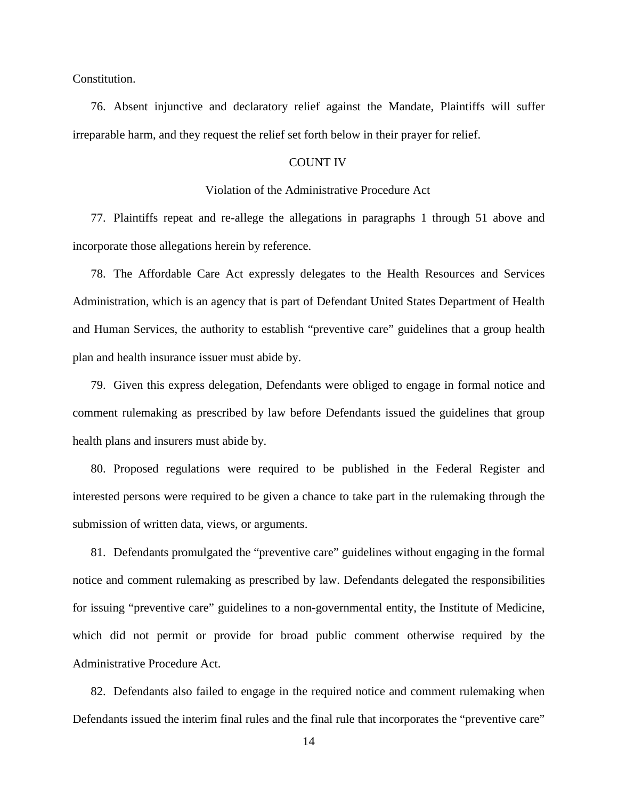Constitution.

76. Absent injunctive and declaratory relief against the Mandate, Plaintiffs will suffer irreparable harm, and they request the relief set forth below in their prayer for relief.

### COUNT IV

# Violation of the Administrative Procedure Act

77. Plaintiffs repeat and re-allege the allegations in paragraphs 1 through 51 above and incorporate those allegations herein by reference.

78. The Affordable Care Act expressly delegates to the Health Resources and Services Administration, which is an agency that is part of Defendant United States Department of Health and Human Services, the authority to establish "preventive care" guidelines that a group health plan and health insurance issuer must abide by.

79. Given this express delegation, Defendants were obliged to engage in formal notice and comment rulemaking as prescribed by law before Defendants issued the guidelines that group health plans and insurers must abide by.

80. Proposed regulations were required to be published in the Federal Register and interested persons were required to be given a chance to take part in the rulemaking through the submission of written data, views, or arguments.

81. Defendants promulgated the "preventive care" guidelines without engaging in the formal notice and comment rulemaking as prescribed by law. Defendants delegated the responsibilities for issuing "preventive care" guidelines to a non-governmental entity, the Institute of Medicine, which did not permit or provide for broad public comment otherwise required by the Administrative Procedure Act.

82. Defendants also failed to engage in the required notice and comment rulemaking when Defendants issued the interim final rules and the final rule that incorporates the "preventive care"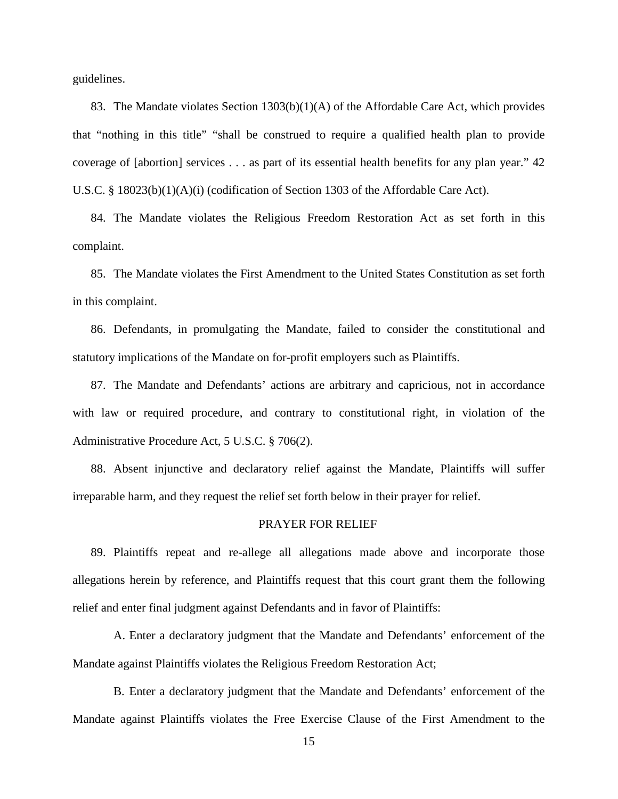guidelines.

83. The Mandate violates Section 1303(b)(1)(A) of the Affordable Care Act, which provides that "nothing in this title" "shall be construed to require a qualified health plan to provide coverage of [abortion] services . . . as part of its essential health benefits for any plan year." 42 U.S.C. § 18023(b)(1)(A)(i) (codification of Section 1303 of the Affordable Care Act).

84. The Mandate violates the Religious Freedom Restoration Act as set forth in this complaint.

85. The Mandate violates the First Amendment to the United States Constitution as set forth in this complaint.

86. Defendants, in promulgating the Mandate, failed to consider the constitutional and statutory implications of the Mandate on for-profit employers such as Plaintiffs.

87. The Mandate and Defendants' actions are arbitrary and capricious, not in accordance with law or required procedure, and contrary to constitutional right, in violation of the Administrative Procedure Act, 5 U.S.C. § 706(2).

88. Absent injunctive and declaratory relief against the Mandate, Plaintiffs will suffer irreparable harm, and they request the relief set forth below in their prayer for relief.

## PRAYER FOR RELIEF

89. Plaintiffs repeat and re-allege all allegations made above and incorporate those allegations herein by reference, and Plaintiffs request that this court grant them the following relief and enter final judgment against Defendants and in favor of Plaintiffs:

A. Enter a declaratory judgment that the Mandate and Defendants' enforcement of the Mandate against Plaintiffs violates the Religious Freedom Restoration Act;

B. Enter a declaratory judgment that the Mandate and Defendants' enforcement of the Mandate against Plaintiffs violates the Free Exercise Clause of the First Amendment to the